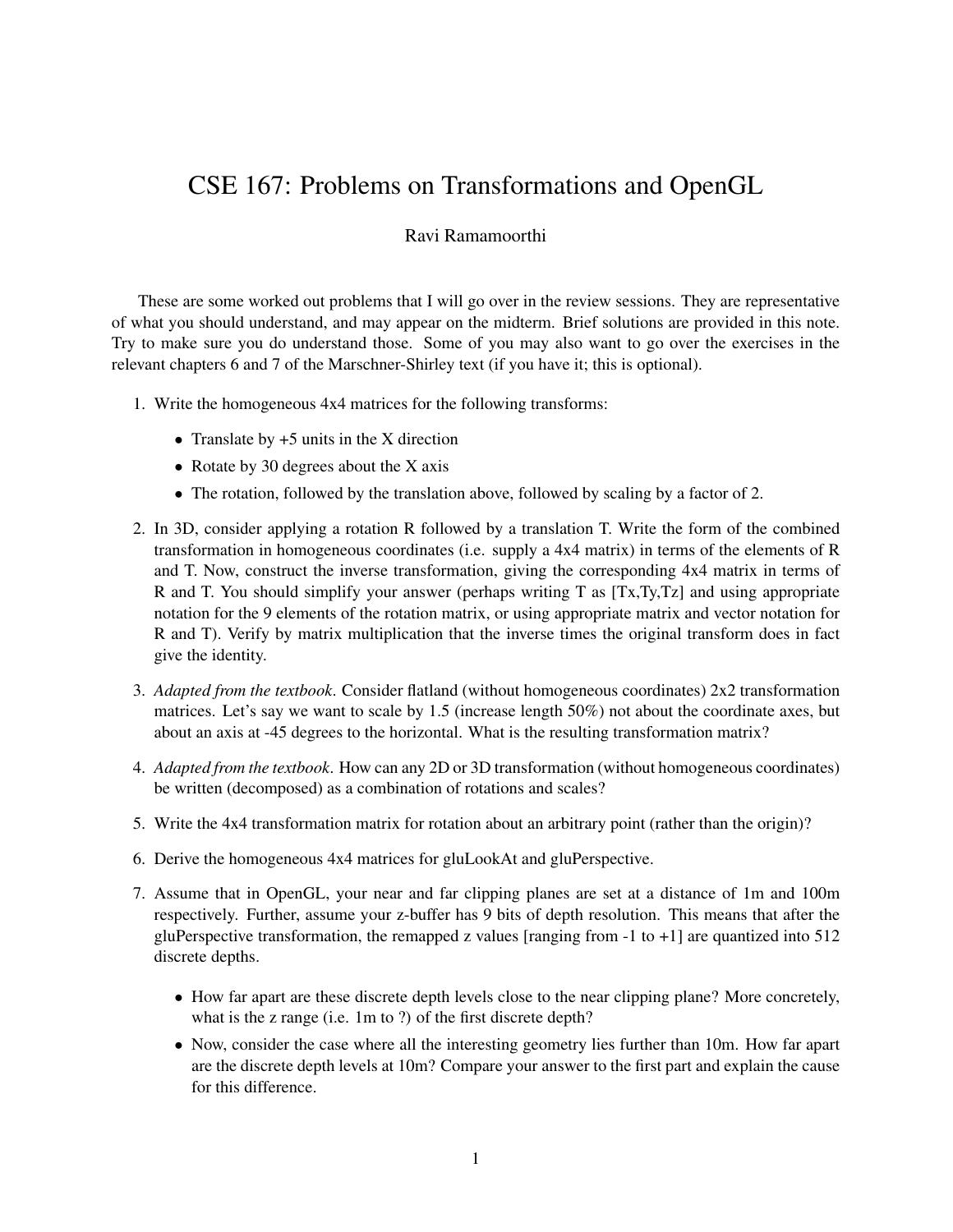## CSE 167: Problems on Transformations and OpenGL

## Ravi Ramamoorthi

These are some worked out problems that I will go over in the review sessions. They are representative of what you should understand, and may appear on the midterm. Brief solutions are provided in this note. Try to make sure you do understand those. Some of you may also want to go over the exercises in the relevant chapters 6 and 7 of the Marschner-Shirley text (if you have it; this is optional).

- 1. Write the homogeneous 4x4 matrices for the following transforms:
	- Translate by  $+5$  units in the X direction
	- Rotate by 30 degrees about the X axis
	- The rotation, followed by the translation above, followed by scaling by a factor of 2.
- 2. In 3D, consider applying a rotation R followed by a translation T. Write the form of the combined transformation in homogeneous coordinates (i.e. supply a 4x4 matrix) in terms of the elements of R and T. Now, construct the inverse transformation, giving the corresponding 4x4 matrix in terms of R and T. You should simplify your answer (perhaps writing T as [Tx,Ty,Tz] and using appropriate notation for the 9 elements of the rotation matrix, or using appropriate matrix and vector notation for R and T). Verify by matrix multiplication that the inverse times the original transform does in fact give the identity.
- 3. *Adapted from the textbook*. Consider flatland (without homogeneous coordinates) 2x2 transformation matrices. Let's say we want to scale by 1.5 (increase length 50%) not about the coordinate axes, but about an axis at -45 degrees to the horizontal. What is the resulting transformation matrix?
- 4. *Adapted from the textbook*. How can any 2D or 3D transformation (without homogeneous coordinates) be written (decomposed) as a combination of rotations and scales?
- 5. Write the 4x4 transformation matrix for rotation about an arbitrary point (rather than the origin)?
- 6. Derive the homogeneous 4x4 matrices for gluLookAt and gluPerspective.
- 7. Assume that in OpenGL, your near and far clipping planes are set at a distance of 1m and 100m respectively. Further, assume your z-buffer has 9 bits of depth resolution. This means that after the gluPerspective transformation, the remapped z values [ranging from  $-1$  to  $+1$ ] are quantized into 512 discrete depths.
	- How far apart are these discrete depth levels close to the near clipping plane? More concretely, what is the z range (i.e. 1m to ?) of the first discrete depth?
	- Now, consider the case where all the interesting geometry lies further than 10m. How far apart are the discrete depth levels at 10m? Compare your answer to the first part and explain the cause for this difference.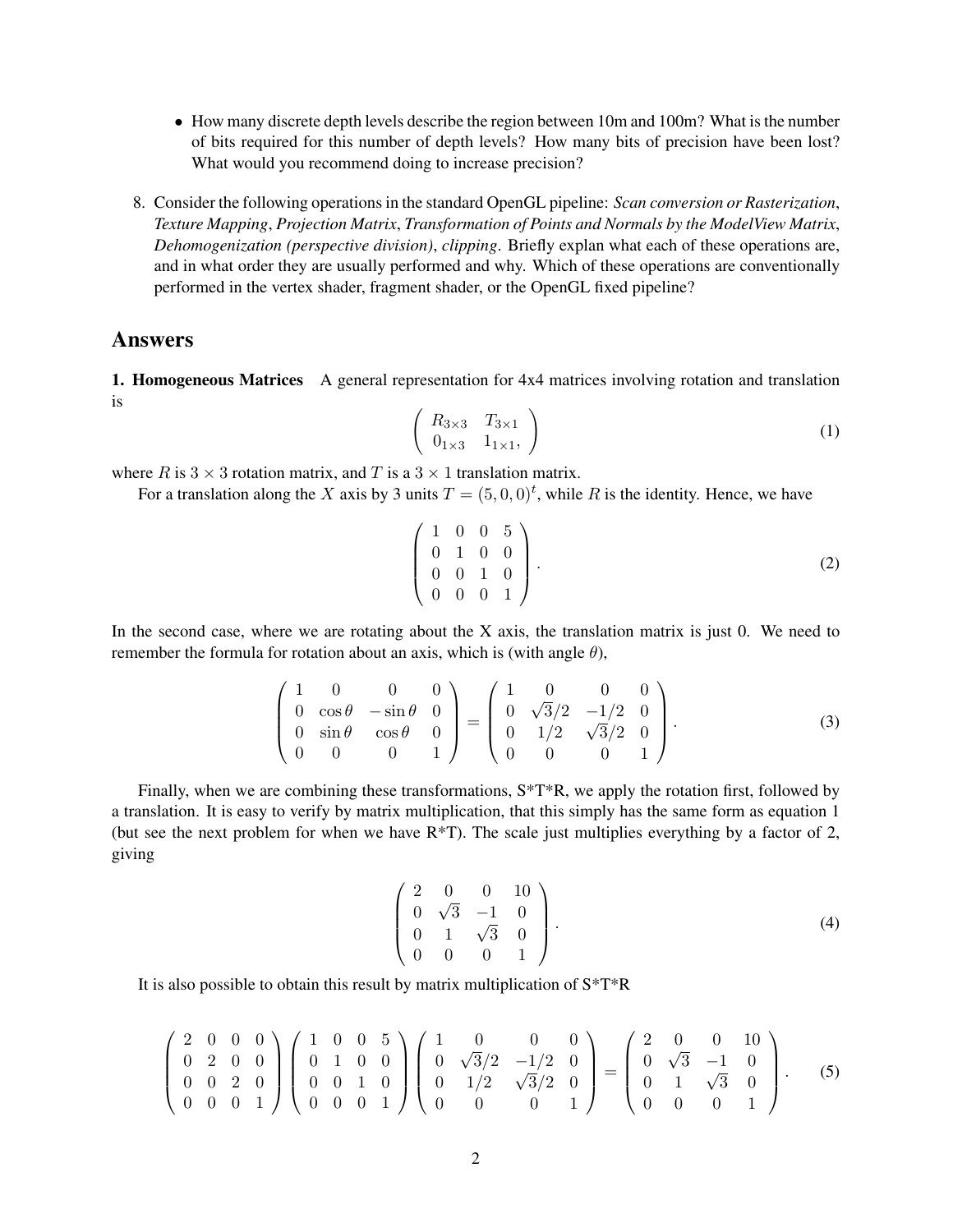- How many discrete depth levels describe the region between 10m and 100m? What is the number of bits required for this number of depth levels? How many bits of precision have been lost? What would you recommend doing to increase precision?
- 8. Consider the following operations in the standard OpenGL pipeline: *Scan conversion or Rasterization*, *Texture Mapping*, *Projection Matrix*, *Transformation of Points and Normals by the ModelView Matrix*, *Dehomogenization (perspective division)*, *clipping*. Briefly explan what each of these operations are, and in what order they are usually performed and why. Which of these operations are conventionally performed in the vertex shader, fragment shader, or the OpenGL fixed pipeline?

## Answers

1. Homogeneous Matrices A general representation for 4x4 matrices involving rotation and translation is

$$
\left(\begin{array}{cc} R_{3\times 3} & T_{3\times 1} \\ 0_{1\times 3} & 1_{1\times 1} \end{array}\right) \tag{1}
$$

where R is  $3 \times 3$  rotation matrix, and T is a  $3 \times 1$  translation matrix.

For a translation along the X axis by 3 units  $T = (5, 0, 0)<sup>t</sup>$ , while R is the identity. Hence, we have

$$
\left(\begin{array}{cccc} 1 & 0 & 0 & 5 \\ 0 & 1 & 0 & 0 \\ 0 & 0 & 1 & 0 \\ 0 & 0 & 0 & 1 \end{array}\right).
$$
 (2)

In the second case, where we are rotating about the X axis, the translation matrix is just 0. We need to remember the formula for rotation about an axis, which is (with angle  $\theta$ ),

$$
\begin{pmatrix} 1 & 0 & 0 & 0 \ 0 & \cos \theta & -\sin \theta & 0 \ 0 & \sin \theta & \cos \theta & 0 \ 0 & 0 & 0 & 1 \end{pmatrix} = \begin{pmatrix} 1 & 0 & 0 & 0 \ 0 & \sqrt{3}/2 & -1/2 & 0 \ 0 & 1/2 & \sqrt{3}/2 & 0 \ 0 & 0 & 0 & 1 \end{pmatrix}.
$$
 (3)

Finally, when we are combining these transformations,  $S^*T^*R$ , we apply the rotation first, followed by a translation. It is easy to verify by matrix multiplication, that this simply has the same form as equation 1 (but see the next problem for when we have R\*T). The scale just multiplies everything by a factor of 2, giving

$$
\left(\begin{array}{cccc} 2 & 0 & 0 & 10 \\ 0 & \sqrt{3} & -1 & 0 \\ 0 & 1 & \sqrt{3} & 0 \\ 0 & 0 & 0 & 1 \end{array}\right).
$$
 (4)

It is also possible to obtain this result by matrix multiplication of  $S^*T^*R$ 

$$
\begin{pmatrix} 2 & 0 & 0 & 0 \ 0 & 2 & 0 & 0 \ 0 & 0 & 2 & 0 \ 0 & 0 & 0 & 1 \end{pmatrix} \begin{pmatrix} 1 & 0 & 0 & 5 \ 0 & 1 & 0 & 0 \ 0 & 0 & 1 & 0 \ 0 & 0 & 0 & 1 \end{pmatrix} \begin{pmatrix} 1 & 0 & 0 & 0 \ 0 & \sqrt{3}/2 & -1/2 & 0 \ 0 & 1/2 & \sqrt{3}/2 & 0 \ 0 & 0 & 0 & 1 \end{pmatrix} = \begin{pmatrix} 2 & 0 & 0 & 10 \ 0 & \sqrt{3} & -1 & 0 \ 0 & 1 & \sqrt{3} & 0 \ 0 & 0 & 0 & 1 \end{pmatrix}.
$$
 (5)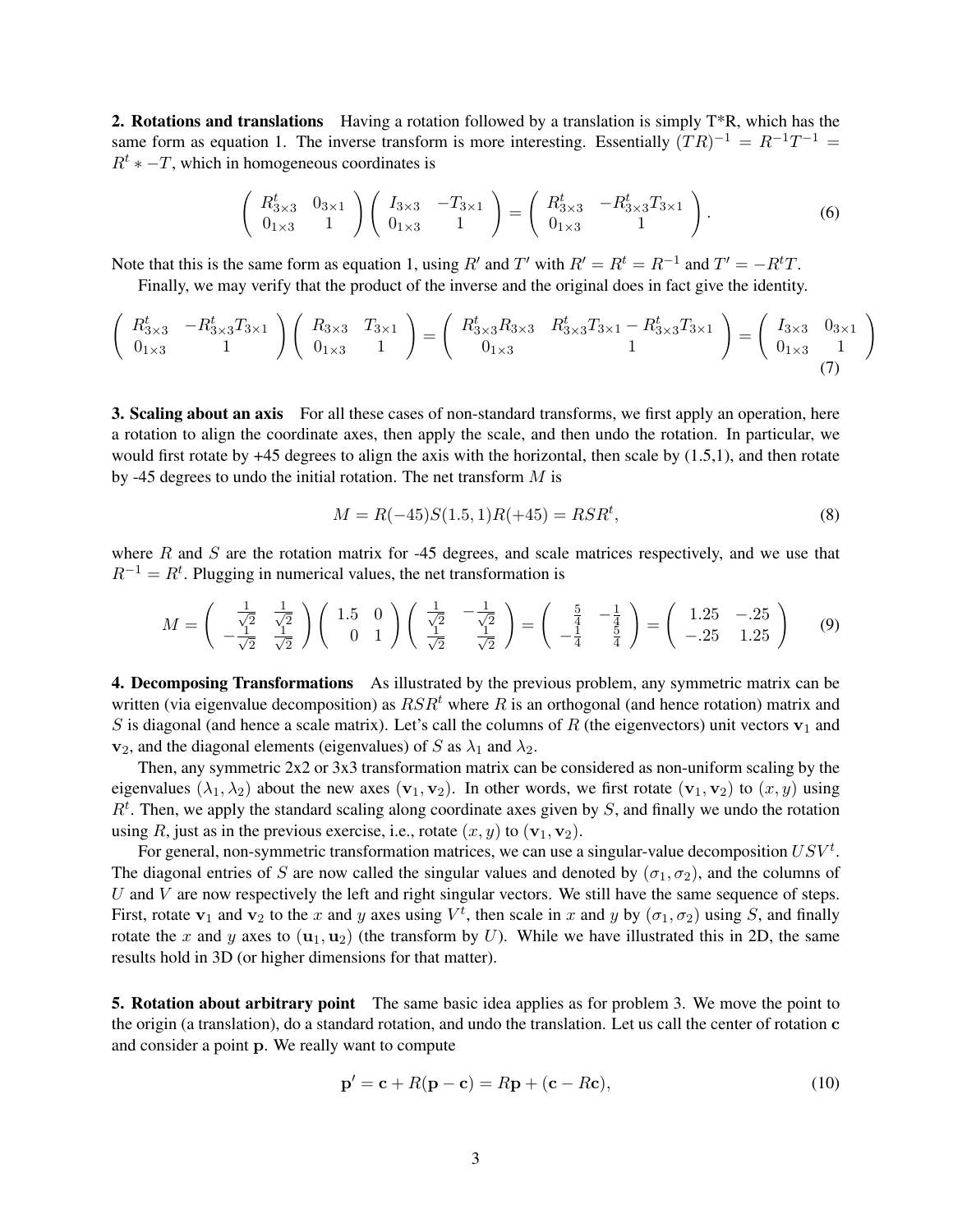**2. Rotations and translations** Having a rotation followed by a translation is simply  $T^*R$ , which has the same form as equation 1. The inverse transform is more interesting. Essentially  $(TR)^{-1} = R^{-1}T^{-1} =$  $R^t$  \* −T, which in homogeneous coordinates is

$$
\begin{pmatrix} R_{3\times 3}^t & 0_{3\times 1} \\ 0_{1\times 3} & 1 \end{pmatrix} \begin{pmatrix} I_{3\times 3} & -T_{3\times 1} \\ 0_{1\times 3} & 1 \end{pmatrix} = \begin{pmatrix} R_{3\times 3}^t & -R_{3\times 3}^t T_{3\times 1} \\ 0_{1\times 3} & 1 \end{pmatrix}.
$$
 (6)

Note that this is the same form as equation 1, using R' and T' with  $R' = R^t = R^{-1}$  and  $T' = -R^tT$ .

Finally, we may verify that the product of the inverse and the original does in fact give the identity.

$$
\begin{pmatrix}\nR_{3\times 3}^t & -R_{3\times 3}^t T_{3\times 1} \\
0_{1\times 3} & 1\n\end{pmatrix}\n\begin{pmatrix}\nR_{3\times 3} & T_{3\times 1} \\
0_{1\times 3} & 1\n\end{pmatrix} =\n\begin{pmatrix}\nR_{3\times 3}^t R_{3\times 3} & R_{3\times 3}^t T_{3\times 1} - R_{3\times 3}^t T_{3\times 1} \\
0_{1\times 3} & 1\n\end{pmatrix} =\n\begin{pmatrix}\nI_{3\times 3} & 0_{3\times 1} \\
0_{1\times 3} & 1\n\end{pmatrix}
$$
\n(7)

**3. Scaling about an axis** For all these cases of non-standard transforms, we first apply an operation, here a rotation to align the coordinate axes, then apply the scale, and then undo the rotation. In particular, we would first rotate by +45 degrees to align the axis with the horizontal, then scale by (1.5,1), and then rotate by -45 degrees to undo the initial rotation. The net transform  $M$  is

$$
M = R(-45)S(1.5, 1)R(+45) = RSR^t,
$$
\n(8)

where  $R$  and  $S$  are the rotation matrix for -45 degrees, and scale matrices respectively, and we use that  $R^{-1} = R^{t}$ . Plugging in numerical values, the net transformation is

$$
M = \begin{pmatrix} \frac{1}{\sqrt{2}} & \frac{1}{\sqrt{2}} \\ -\frac{1}{\sqrt{2}} & \frac{1}{\sqrt{2}} \end{pmatrix} \begin{pmatrix} 1.5 & 0 \\ 0 & 1 \end{pmatrix} \begin{pmatrix} \frac{1}{\sqrt{2}} & -\frac{1}{\sqrt{2}} \\ \frac{1}{\sqrt{2}} & \frac{1}{\sqrt{2}} \end{pmatrix} = \begin{pmatrix} \frac{5}{4} & -\frac{1}{4} \\ -\frac{1}{4} & \frac{5}{4} \end{pmatrix} = \begin{pmatrix} 1.25 & -0.25 \\ -0.25 & 1.25 \end{pmatrix}
$$
(9)

4. Decomposing Transformations As illustrated by the previous problem, any symmetric matrix can be written (via eigenvalue decomposition) as  $RSR<sup>t</sup>$  where R is an orthogonal (and hence rotation) matrix and S is diagonal (and hence a scale matrix). Let's call the columns of R (the eigenvectors) unit vectors  $v_1$  and  $\mathbf{v}_2$ , and the diagonal elements (eigenvalues) of S as  $\lambda_1$  and  $\lambda_2$ .

Then, any symmetric 2x2 or 3x3 transformation matrix can be considered as non-uniform scaling by the eigenvalues  $(\lambda_1, \lambda_2)$  about the new axes  $(\mathbf{v}_1, \mathbf{v}_2)$ . In other words, we first rotate  $(\mathbf{v}_1, \mathbf{v}_2)$  to  $(x, y)$  using  $R<sup>t</sup>$ . Then, we apply the standard scaling along coordinate axes given by S, and finally we undo the rotation using R, just as in the previous exercise, i.e., rotate  $(x, y)$  to  $(\mathbf{v}_1, \mathbf{v}_2)$ .

For general, non-symmetric transformation matrices, we can use a singular-value decomposition  $USV<sup>t</sup>$ . The diagonal entries of S are now called the singular values and denoted by  $(\sigma_1, \sigma_2)$ , and the columns of  $U$  and  $V$  are now respectively the left and right singular vectors. We still have the same sequence of steps. First, rotate  $v_1$  and  $v_2$  to the x and y axes using  $V^t$ , then scale in x and y by  $(\sigma_1, \sigma_2)$  using S, and finally rotate the x and y axes to  $(\mathbf{u}_1, \mathbf{u}_2)$  (the transform by U). While we have illustrated this in 2D, the same results hold in 3D (or higher dimensions for that matter).

5. Rotation about arbitrary point The same basic idea applies as for problem 3. We move the point to the origin (a translation), do a standard rotation, and undo the translation. Let us call the center of rotation c and consider a point p. We really want to compute

$$
\mathbf{p}' = \mathbf{c} + R(\mathbf{p} - \mathbf{c}) = R\mathbf{p} + (\mathbf{c} - R\mathbf{c}),\tag{10}
$$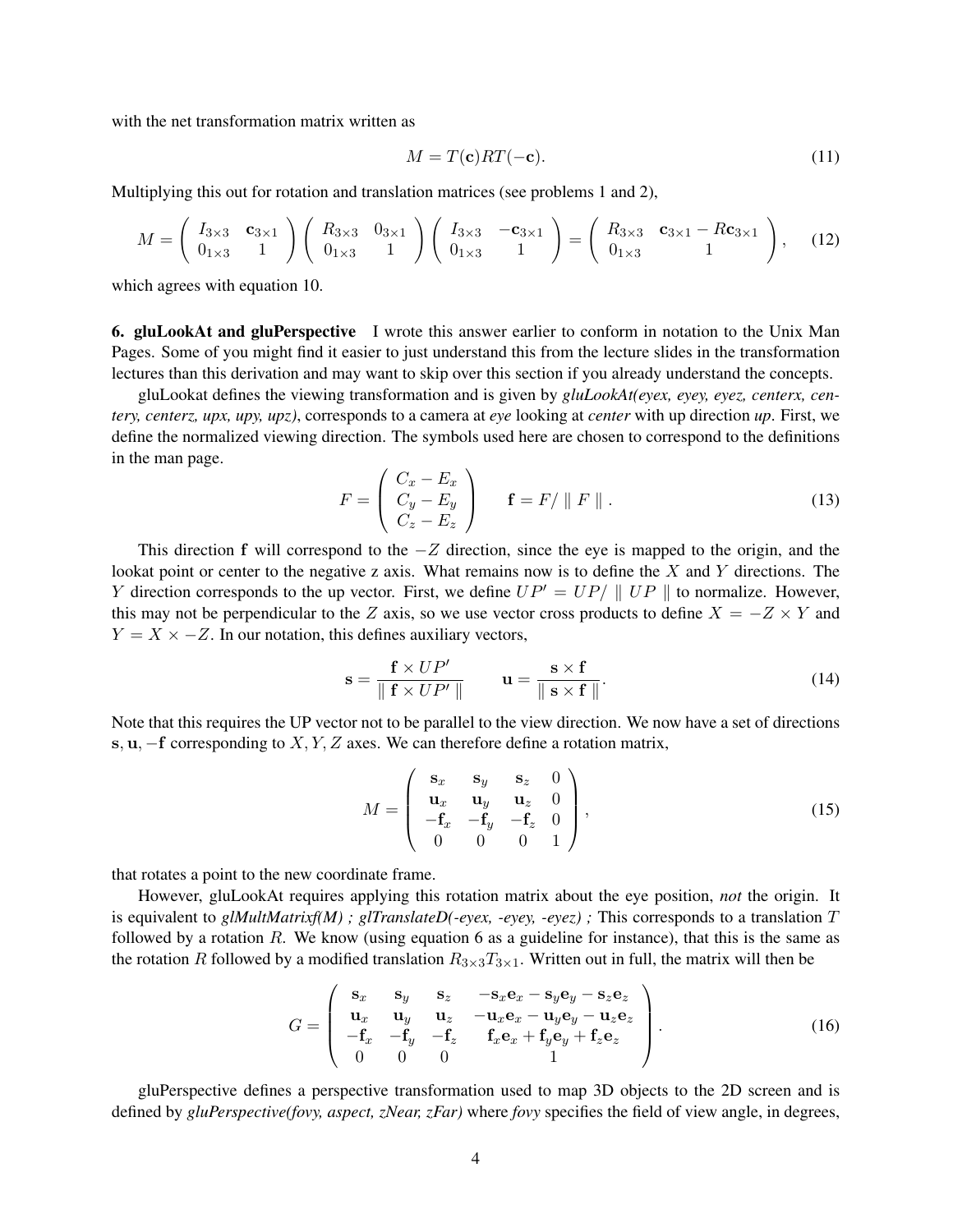with the net transformation matrix written as

$$
M = T(\mathbf{c})RT(-\mathbf{c}).\tag{11}
$$

Multiplying this out for rotation and translation matrices (see problems 1 and 2),

$$
M = \begin{pmatrix} I_{3\times 3} & \mathbf{c}_{3\times 1} \\ 0_{1\times 3} & 1 \end{pmatrix} \begin{pmatrix} R_{3\times 3} & 0_{3\times 1} \\ 0_{1\times 3} & 1 \end{pmatrix} \begin{pmatrix} I_{3\times 3} & -\mathbf{c}_{3\times 1} \\ 0_{1\times 3} & 1 \end{pmatrix} = \begin{pmatrix} R_{3\times 3} & \mathbf{c}_{3\times 1} - R\mathbf{c}_{3\times 1} \\ 0_{1\times 3} & 1 \end{pmatrix}, \quad (12)
$$

which agrees with equation 10.

6. gluLookAt and gluPerspective I wrote this answer earlier to conform in notation to the Unix Man Pages. Some of you might find it easier to just understand this from the lecture slides in the transformation lectures than this derivation and may want to skip over this section if you already understand the concepts.

gluLookat defines the viewing transformation and is given by *gluLookAt(eyex, eyey, eyez, centerx, centery, centerz, upx, upy, upz)*, corresponds to a camera at *eye* looking at *center* with up direction *up*. First, we define the normalized viewing direction. The symbols used here are chosen to correspond to the definitions in the man page.

$$
F = \begin{pmatrix} C_x - E_x \\ C_y - E_y \\ C_z - E_z \end{pmatrix} \qquad \mathbf{f} = F / \parallel F \parallel.
$$
 (13)

This direction f will correspond to the  $-Z$  direction, since the eye is mapped to the origin, and the lookat point or center to the negative z axis. What remains now is to define the  $X$  and  $Y$  directions. The Y direction corresponds to the up vector. First, we define  $UP' = UP/ \parallel UP \parallel$  to normalize. However, this may not be perpendicular to the Z axis, so we use vector cross products to define  $X = -Z \times Y$  and  $Y = X \times -Z$ . In our notation, this defines auxiliary vectors,

$$
\mathbf{s} = \frac{\mathbf{f} \times UP'}{\|\mathbf{f} \times UP'\|} \qquad \mathbf{u} = \frac{\mathbf{s} \times \mathbf{f}}{\|\mathbf{s} \times \mathbf{f}\|}. \tag{14}
$$

Note that this requires the UP vector not to be parallel to the view direction. We now have a set of directions s,  $u$ ,  $-f$  corresponding to  $X, Y, Z$  axes. We can therefore define a rotation matrix,

$$
M = \begin{pmatrix} \mathbf{s}_x & \mathbf{s}_y & \mathbf{s}_z & 0 \\ \mathbf{u}_x & \mathbf{u}_y & \mathbf{u}_z & 0 \\ -\mathbf{f}_x & -\mathbf{f}_y & -\mathbf{f}_z & 0 \\ 0 & 0 & 0 & 1 \end{pmatrix},
$$
(15)

that rotates a point to the new coordinate frame.

However, gluLookAt requires applying this rotation matrix about the eye position, *not* the origin. It is equivalent to *glMultMatrixf(M)*; *glTranslateD(-eyex, -eyey, -eyez)*; This corresponds to a translation T followed by a rotation  $R$ . We know (using equation 6 as a guideline for instance), that this is the same as the rotation R followed by a modified translation  $R_{3\times 3}T_{3\times 1}$ . Written out in full, the matrix will then be

$$
G = \begin{pmatrix} \mathbf{s}_x & \mathbf{s}_y & \mathbf{s}_z & -\mathbf{s}_x \mathbf{e}_x - \mathbf{s}_y \mathbf{e}_y - \mathbf{s}_z \mathbf{e}_z \\ \mathbf{u}_x & \mathbf{u}_y & \mathbf{u}_z & -\mathbf{u}_x \mathbf{e}_x - \mathbf{u}_y \mathbf{e}_y - \mathbf{u}_z \mathbf{e}_z \\ -\mathbf{f}_x & -\mathbf{f}_y & -\mathbf{f}_z & \mathbf{f}_x \mathbf{e}_x + \mathbf{f}_y \mathbf{e}_y + \mathbf{f}_z \mathbf{e}_z \\ 0 & 0 & 0 & 1 \end{pmatrix} . \tag{16}
$$

gluPerspective defines a perspective transformation used to map 3D objects to the 2D screen and is defined by *gluPerspective(fovy, aspect, zNear, zFar)* where *fovy* specifies the field of view angle, in degrees,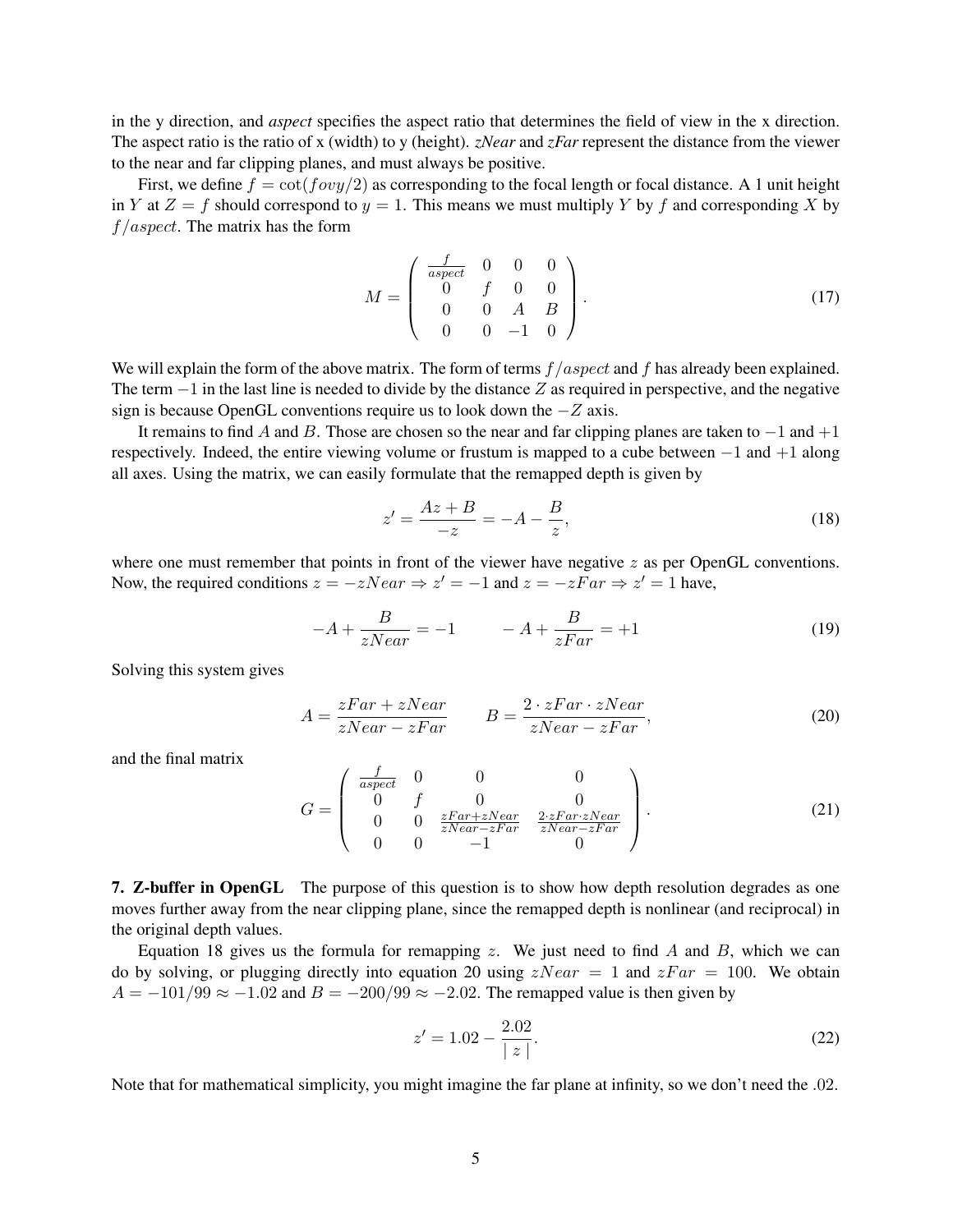in the y direction, and *aspect* specifies the aspect ratio that determines the field of view in the x direction. The aspect ratio is the ratio of x (width) to y (height). *zNear* and *zFar* represent the distance from the viewer to the near and far clipping planes, and must always be positive.

First, we define  $f = \cot(fovy/2)$  as corresponding to the focal length or focal distance. A 1 unit height in Y at  $Z = f$  should correspond to  $y = 1$ . This means we must multiply Y by f and corresponding X by  $f/aspect$ . The matrix has the form

$$
M = \begin{pmatrix} \frac{f}{aspect} & 0 & 0 & 0 \\ 0 & f & 0 & 0 \\ 0 & 0 & A & B \\ 0 & 0 & -1 & 0 \end{pmatrix}.
$$
 (17)

We will explain the form of the above matrix. The form of terms  $f/aspect$  and f has already been explained. The term  $-1$  in the last line is needed to divide by the distance Z as required in perspective, and the negative sign is because OpenGL conventions require us to look down the −Z axis.

It remains to find A and B. Those are chosen so the near and far clipping planes are taken to  $-1$  and  $+1$ respectively. Indeed, the entire viewing volume or frustum is mapped to a cube between −1 and +1 along all axes. Using the matrix, we can easily formulate that the remapped depth is given by

$$
z' = \frac{Az + B}{-z} = -A - \frac{B}{z},
$$
\n(18)

where one must remember that points in front of the viewer have negative  $z$  as per OpenGL conventions. Now, the required conditions  $z = -zNear \Rightarrow z' = -1$  and  $z = -zFar \Rightarrow z' = 1$  have,

$$
-A + \frac{B}{zNear} = -1 \qquad -A + \frac{B}{zFar} = +1 \tag{19}
$$

Solving this system gives

$$
A = \frac{zFar + zNear}{zNear - zFar} \qquad B = \frac{2 \cdot zFar \cdot zNear}{zNear - zFar}, \tag{20}
$$

and the final matrix

$$
G = \begin{pmatrix} \frac{f}{aspect} & 0 & 0 & 0\\ 0 & f & 0 & 0\\ 0 & 0 & \frac{zFar + zNear}{zNear - zFar} & \frac{2 \cdot zFar \cdot zNear}{zNear - zFar} \\ 0 & 0 & -1 & 0 \end{pmatrix}.
$$
 (21)

7. Z-buffer in OpenGL The purpose of this question is to show how depth resolution degrades as one moves further away from the near clipping plane, since the remapped depth is nonlinear (and reciprocal) in the original depth values.

Equation 18 gives us the formula for remapping z. We just need to find A and B, which we can do by solving, or plugging directly into equation 20 using  $zNear = 1$  and  $zFar = 100$ . We obtain  $A = -101/99 \approx -1.02$  and  $B = -200/99 \approx -2.02$ . The remapped value is then given by

$$
z' = 1.02 - \frac{2.02}{|z|}.
$$
\n(22)

Note that for mathematical simplicity, you might imagine the far plane at infinity, so we don't need the .02.